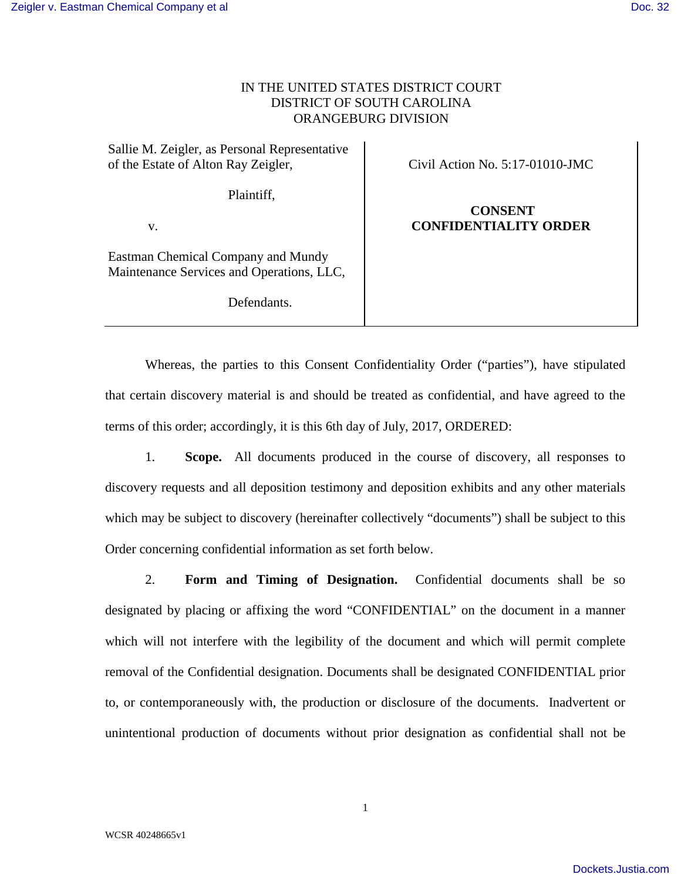### IN THE UNITED STATES DISTRICT COURT DISTRICT OF SOUTH CAROLINA ORANGEBURG DIVISION

Sallie M. Zeigler, as Personal Representative of the Estate of Alton Ray Zeigler,

Civil Action No. 5:17-01010-JMC

Plaintiff,

v.

Eastman Chemical Company and Mundy Maintenance Services and Operations, LLC,

Defendants.

 **CONSENT CONFIDENTIALITY ORDER**

Whereas, the parties to this Consent Confidentiality Order ("parties"), have stipulated that certain discovery material is and should be treated as confidential, and have agreed to the terms of this order; accordingly, it is this 6th day of July, 2017, ORDERED:

1. **Scope.** All documents produced in the course of discovery, all responses to discovery requests and all deposition testimony and deposition exhibits and any other materials which may be subject to discovery (hereinafter collectively "documents") shall be subject to this Order concerning confidential information as set forth below.

2. **Form and Timing of Designation.** Confidential documents shall be so designated by placing or affixing the word "CONFIDENTIAL" on the document in a manner which will not interfere with the legibility of the document and which will permit complete removal of the Confidential designation. Documents shall be designated CONFIDENTIAL prior to, or contemporaneously with, the production or disclosure of the documents. Inadvertent or unintentional production of documents without prior designation as confidential shall not be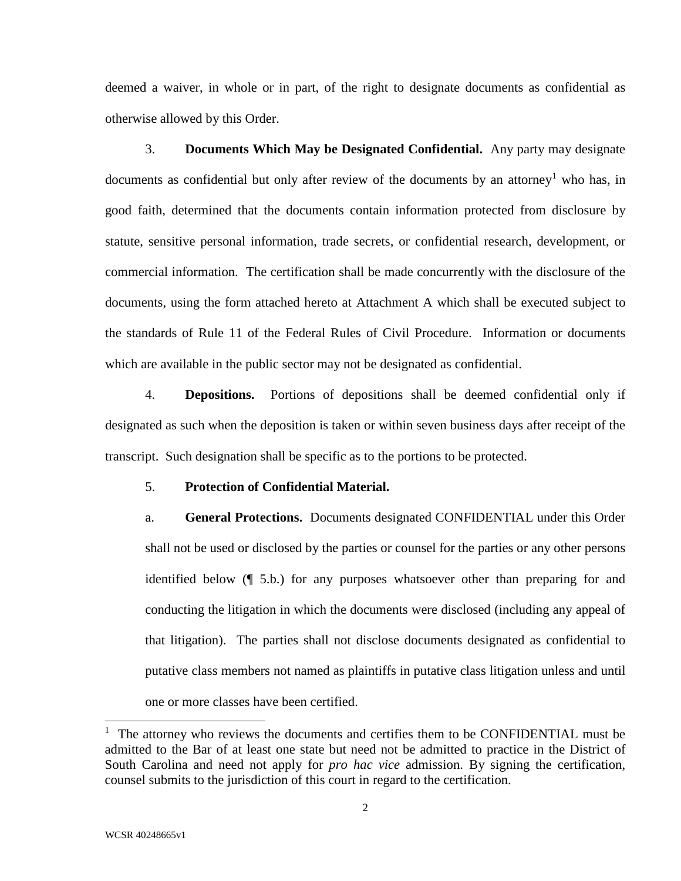deemed a waiver, in whole or in part, of the right to designate documents as confidential as otherwise allowed by this Order.

 3. **Documents Which May be Designated Confidential.** Any party may designate documents as confidential but only after review of the documents by an attorney<sup>1</sup> who has, in good faith, determined that the documents contain information protected from disclosure by statute, sensitive personal information, trade secrets, or confidential research, development, or commercial information. The certification shall be made concurrently with the disclosure of the documents, using the form attached hereto at Attachment A which shall be executed subject to the standards of Rule 11 of the Federal Rules of Civil Procedure. Information or documents which are available in the public sector may not be designated as confidential.

 4. **Depositions.** Portions of depositions shall be deemed confidential only if designated as such when the deposition is taken or within seven business days after receipt of the transcript. Such designation shall be specific as to the portions to be protected.

### 5. **Protection of Confidential Material.**

a. **General Protections.** Documents designated CONFIDENTIAL under this Order shall not be used or disclosed by the parties or counsel for the parties or any other persons identified below (¶ 5.b.) for any purposes whatsoever other than preparing for and conducting the litigation in which the documents were disclosed (including any appeal of that litigation). The parties shall not disclose documents designated as confidential to putative class members not named as plaintiffs in putative class litigation unless and until one or more classes have been certified.

 $\overline{a}$ 

 $1$  The attorney who reviews the documents and certifies them to be CONFIDENTIAL must be admitted to the Bar of at least one state but need not be admitted to practice in the District of South Carolina and need not apply for *pro hac vice* admission. By signing the certification, counsel submits to the jurisdiction of this court in regard to the certification.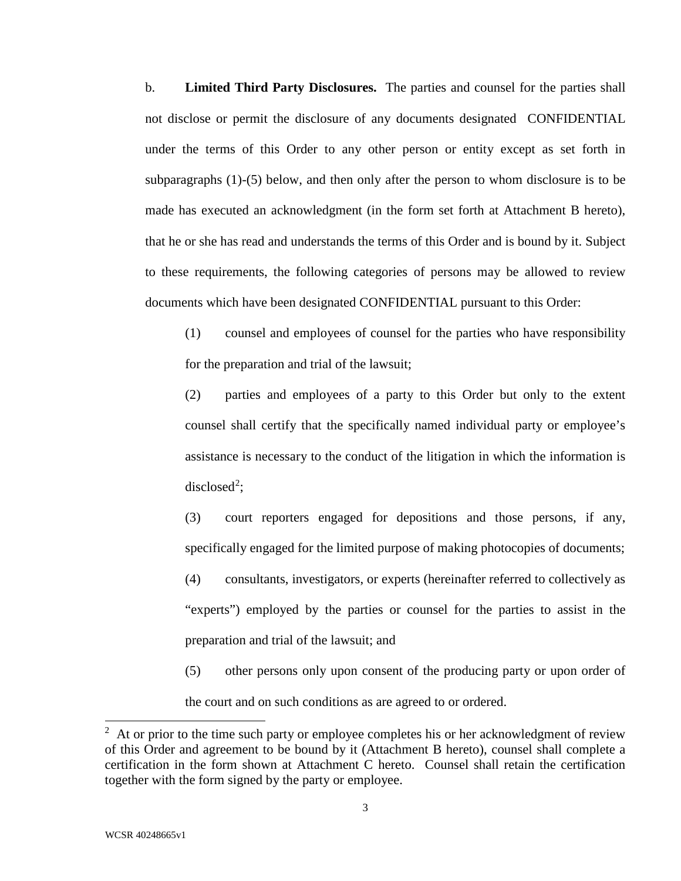b. **Limited Third Party Disclosures.** The parties and counsel for the parties shall not disclose or permit the disclosure of any documents designated CONFIDENTIAL under the terms of this Order to any other person or entity except as set forth in subparagraphs (1)-(5) below, and then only after the person to whom disclosure is to be made has executed an acknowledgment (in the form set forth at Attachment B hereto), that he or she has read and understands the terms of this Order and is bound by it. Subject to these requirements, the following categories of persons may be allowed to review documents which have been designated CONFIDENTIAL pursuant to this Order:

(1) counsel and employees of counsel for the parties who have responsibility for the preparation and trial of the lawsuit;

(2) parties and employees of a party to this Order but only to the extent counsel shall certify that the specifically named individual party or employee's assistance is necessary to the conduct of the litigation in which the information is disclosed<sup>2</sup>;

(3) court reporters engaged for depositions and those persons, if any, specifically engaged for the limited purpose of making photocopies of documents; (4) consultants, investigators, or experts (hereinafter referred to collectively as "experts") employed by the parties or counsel for the parties to assist in the preparation and trial of the lawsuit; and

(5) other persons only upon consent of the producing party or upon order of the court and on such conditions as are agreed to or ordered.

 $\overline{a}$ 

 $2<sup>2</sup>$  At or prior to the time such party or employee completes his or her acknowledgment of review of this Order and agreement to be bound by it (Attachment B hereto), counsel shall complete a certification in the form shown at Attachment C hereto. Counsel shall retain the certification together with the form signed by the party or employee.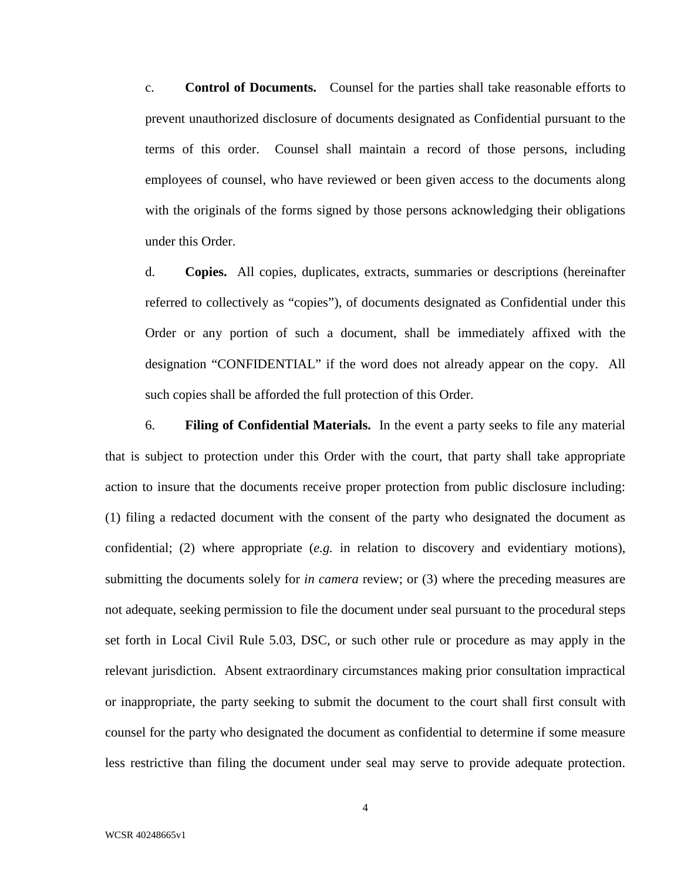c. **Control of Documents.** Counsel for the parties shall take reasonable efforts to prevent unauthorized disclosure of documents designated as Confidential pursuant to the terms of this order. Counsel shall maintain a record of those persons, including employees of counsel, who have reviewed or been given access to the documents along with the originals of the forms signed by those persons acknowledging their obligations under this Order.

d. **Copies.** All copies, duplicates, extracts, summaries or descriptions (hereinafter referred to collectively as "copies"), of documents designated as Confidential under this Order or any portion of such a document, shall be immediately affixed with the designation "CONFIDENTIAL" if the word does not already appear on the copy. All such copies shall be afforded the full protection of this Order.

 6. **Filing of Confidential Materials.**In the event a party seeks to file any material that is subject to protection under this Order with the court, that party shall take appropriate action to insure that the documents receive proper protection from public disclosure including: (1) filing a redacted document with the consent of the party who designated the document as confidential; (2) where appropriate (*e.g.* in relation to discovery and evidentiary motions), submitting the documents solely for *in camera* review; or (3) where the preceding measures are not adequate, seeking permission to file the document under seal pursuant to the procedural steps set forth in Local Civil Rule 5.03, DSC, or such other rule or procedure as may apply in the relevant jurisdiction. Absent extraordinary circumstances making prior consultation impractical or inappropriate, the party seeking to submit the document to the court shall first consult with counsel for the party who designated the document as confidential to determine if some measure less restrictive than filing the document under seal may serve to provide adequate protection.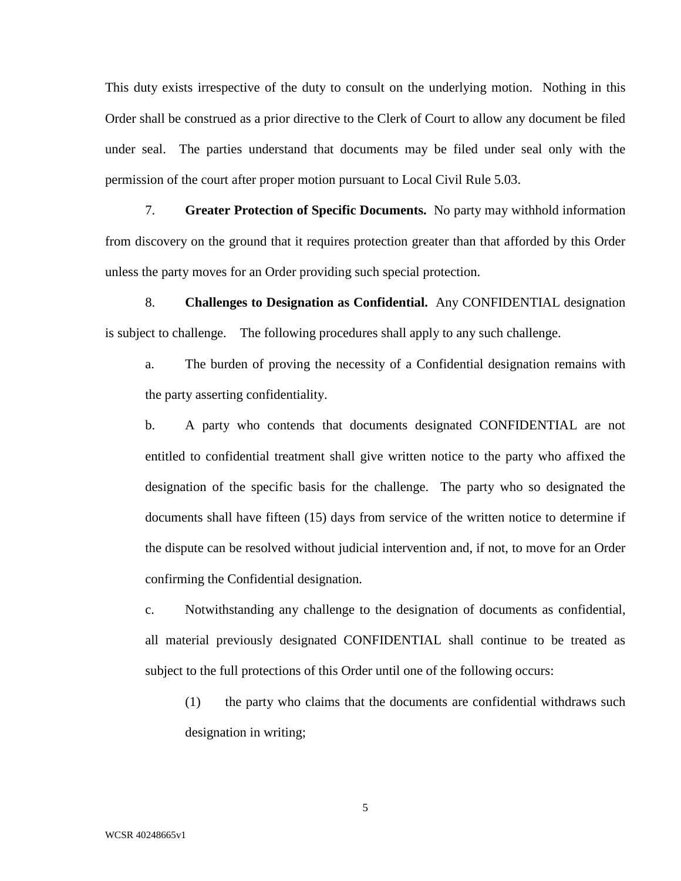This duty exists irrespective of the duty to consult on the underlying motion. Nothing in this Order shall be construed as a prior directive to the Clerk of Court to allow any document be filed under seal. The parties understand that documents may be filed under seal only with the permission of the court after proper motion pursuant to Local Civil Rule 5.03.

 7. **Greater Protection of Specific Documents.** No party may withhold information from discovery on the ground that it requires protection greater than that afforded by this Order unless the party moves for an Order providing such special protection.

 8. **Challenges to Designation as Confidential.** Any CONFIDENTIAL designation is subject to challenge. The following procedures shall apply to any such challenge.

a. The burden of proving the necessity of a Confidential designation remains with the party asserting confidentiality.

b. A party who contends that documents designated CONFIDENTIAL are not entitled to confidential treatment shall give written notice to the party who affixed the designation of the specific basis for the challenge. The party who so designated the documents shall have fifteen (15) days from service of the written notice to determine if the dispute can be resolved without judicial intervention and, if not, to move for an Order confirming the Confidential designation.

c. Notwithstanding any challenge to the designation of documents as confidential, all material previously designated CONFIDENTIAL shall continue to be treated as subject to the full protections of this Order until one of the following occurs:

(1) the party who claims that the documents are confidential withdraws such designation in writing;

5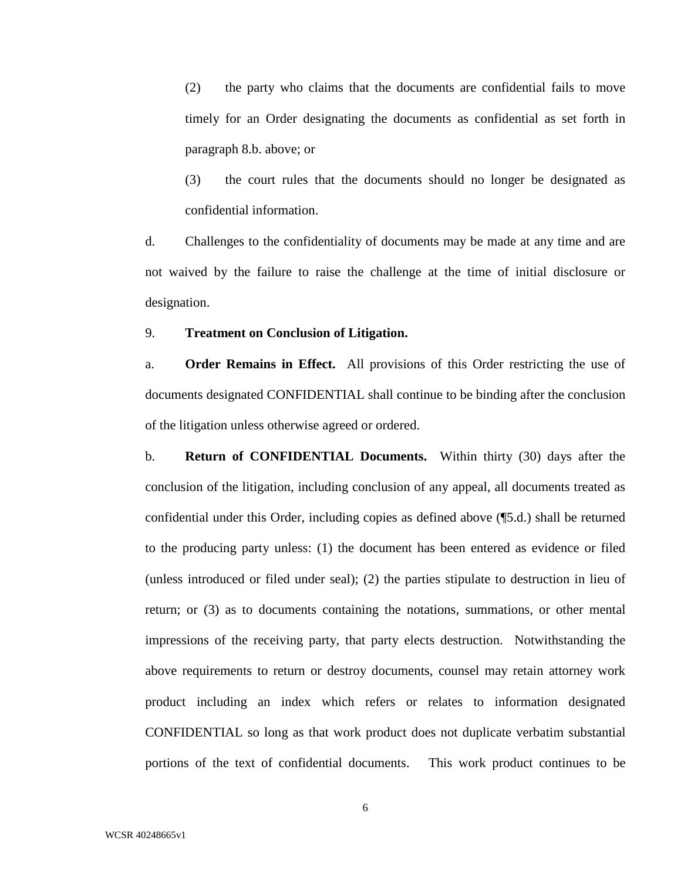(2) the party who claims that the documents are confidential fails to move timely for an Order designating the documents as confidential as set forth in paragraph 8.b. above; or

(3) the court rules that the documents should no longer be designated as confidential information.

d. Challenges to the confidentiality of documents may be made at any time and are not waived by the failure to raise the challenge at the time of initial disclosure or designation.

#### 9. **Treatment on Conclusion of Litigation.**

a. **Order Remains in Effect.** All provisions of this Order restricting the use of documents designated CONFIDENTIAL shall continue to be binding after the conclusion of the litigation unless otherwise agreed or ordered.

b. **Return of CONFIDENTIAL Documents.** Within thirty (30) days after the conclusion of the litigation, including conclusion of any appeal, all documents treated as confidential under this Order, including copies as defined above (¶5.d.) shall be returned to the producing party unless: (1) the document has been entered as evidence or filed (unless introduced or filed under seal); (2) the parties stipulate to destruction in lieu of return; or (3) as to documents containing the notations, summations, or other mental impressions of the receiving party, that party elects destruction.Notwithstanding the above requirements to return or destroy documents, counsel may retain attorney work product including an index which refers or relates to information designated CONFIDENTIAL so long as that work product does not duplicate verbatim substantial portions of the text of confidential documents. This work product continues to be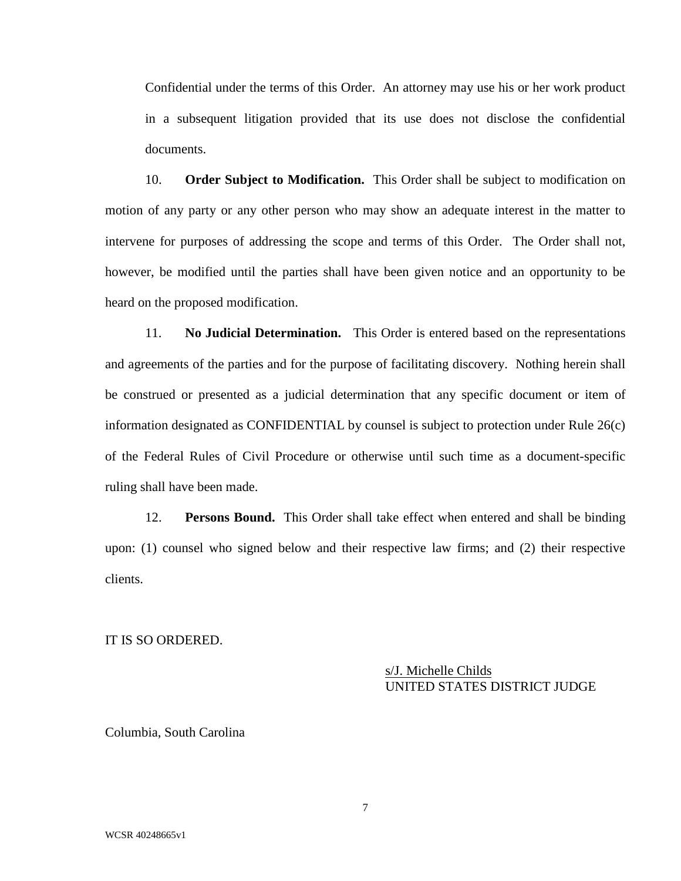Confidential under the terms of this Order. An attorney may use his or her work product in a subsequent litigation provided that its use does not disclose the confidential documents.

 10. **Order Subject to Modification.** This Order shall be subject to modification on motion of any party or any other person who may show an adequate interest in the matter to intervene for purposes of addressing the scope and terms of this Order. The Order shall not, however, be modified until the parties shall have been given notice and an opportunity to be heard on the proposed modification.

 11. **No Judicial Determination.** This Order is entered based on the representations and agreements of the parties and for the purpose of facilitating discovery. Nothing herein shall be construed or presented as a judicial determination that any specific document or item of information designated as CONFIDENTIAL by counsel is subject to protection under Rule 26(c) of the Federal Rules of Civil Procedure or otherwise until such time as a document-specific ruling shall have been made.

 12. **Persons Bound.** This Order shall take effect when entered and shall be binding upon: (1) counsel who signed below and their respective law firms; and (2) their respective clients.

IT IS SO ORDERED.

 s/J. Michelle Childs UNITED STATES DISTRICT JUDGE

Columbia, South Carolina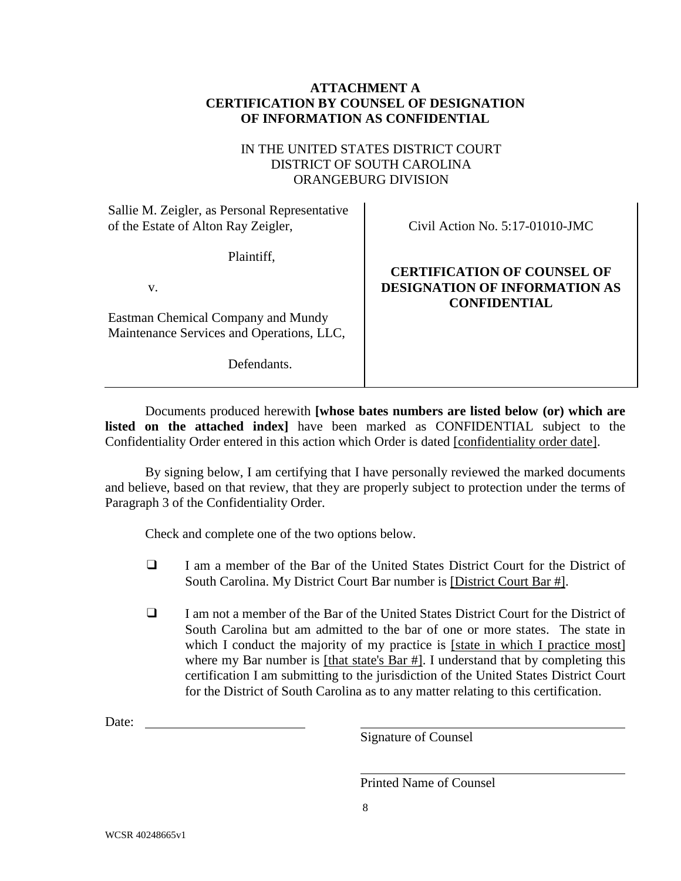## **ATTACHMENT A CERTIFICATION BY COUNSEL OF DESIGNATION OF INFORMATION AS CONFIDENTIAL**

## IN THE UNITED STATES DISTRICT COURT DISTRICT OF SOUTH CAROLINA ORANGEBURG DIVISION

Sallie M. Zeigler, as Personal Representative of the Estate of Alton Ray Zeigler,

Plaintiff,

v.

Eastman Chemical Company and Mundy Maintenance Services and Operations, LLC,

Defendants.

Civil Action No. 5:17-01010-JMC

# **CERTIFICATION OF COUNSEL OF DESIGNATION OF INFORMATION AS CONFIDENTIAL**

Documents produced herewith **[whose bates numbers are listed below (or) which are listed on the attached index]** have been marked as CONFIDENTIAL subject to the Confidentiality Order entered in this action which Order is dated [confidentiality order date].

By signing below, I am certifying that I have personally reviewed the marked documents and believe, based on that review, that they are properly subject to protection under the terms of Paragraph 3 of the Confidentiality Order.

Check and complete one of the two options below.

- ❑ I am a member of the Bar of the United States District Court for the District of South Carolina. My District Court Bar number is [District Court Bar #].
- ❑ I am not a member of the Bar of the United States District Court for the District of South Carolina but am admitted to the bar of one or more states. The state in which I conduct the majority of my practice is [state in which I practice most] where my Bar number is [that state's Bar #]. I understand that by completing this certification I am submitting to the jurisdiction of the United States District Court for the District of South Carolina as to any matter relating to this certification.

Date:

Signature of Counsel

Printed Name of Counsel

8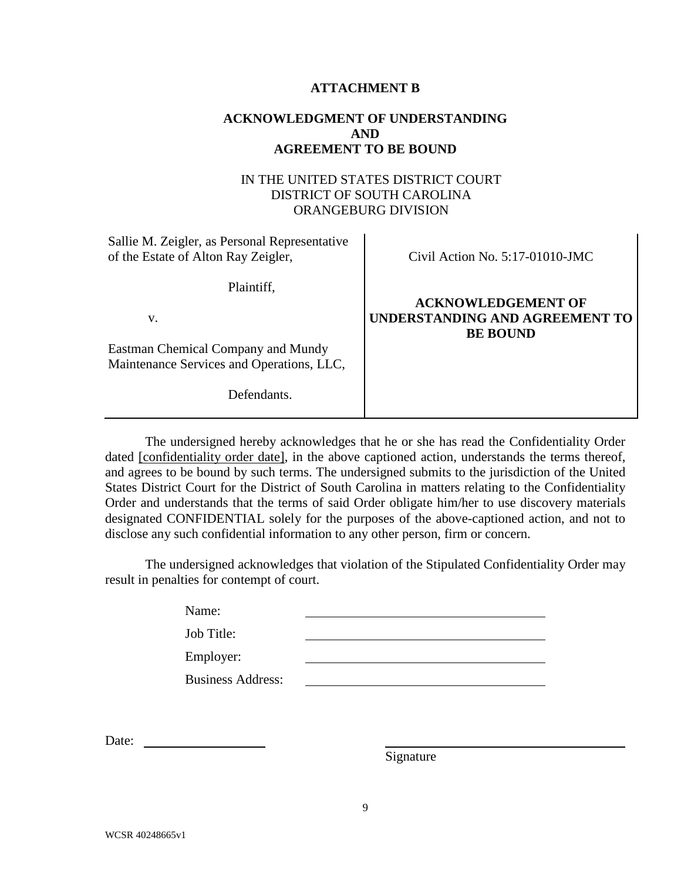#### **ATTACHMENT B**

### **ACKNOWLEDGMENT OF UNDERSTANDING AND AGREEMENT TO BE BOUND**

### IN THE UNITED STATES DISTRICT COURT DISTRICT OF SOUTH CAROLINA ORANGEBURG DIVISION

| Sallie M. Zeigler, as Personal Representative<br>of the Estate of Alton Ray Zeigler,           | Civil Action No. $5:17-01010$ -JMC                                             |
|------------------------------------------------------------------------------------------------|--------------------------------------------------------------------------------|
| Plaintiff,<br>V.                                                                               | <b>ACKNOWLEDGEMENT OF</b><br>UNDERSTANDING AND AGREEMENT TO<br><b>BE BOUND</b> |
| Eastman Chemical Company and Mundy<br>Maintenance Services and Operations, LLC,<br>Defendants. |                                                                                |

 The undersigned hereby acknowledges that he or she has read the Confidentiality Order dated [confidentiality order date], in the above captioned action, understands the terms thereof, and agrees to be bound by such terms. The undersigned submits to the jurisdiction of the United States District Court for the District of South Carolina in matters relating to the Confidentiality Order and understands that the terms of said Order obligate him/her to use discovery materials designated CONFIDENTIAL solely for the purposes of the above-captioned action, and not to disclose any such confidential information to any other person, firm or concern.

The undersigned acknowledges that violation of the Stipulated Confidentiality Order may result in penalties for contempt of court.

| Name:                    |  |
|--------------------------|--|
| Job Title:               |  |
| Employer:                |  |
| <b>Business Address:</b> |  |
|                          |  |

Date:

Signature